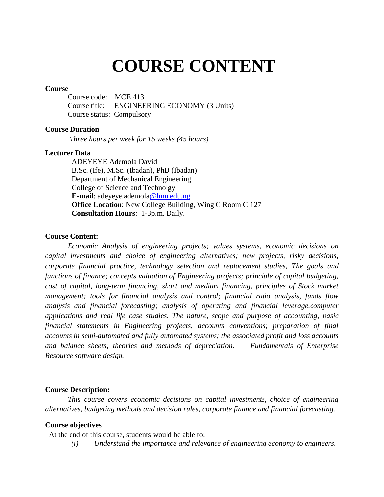## **COURSE CONTENT**

#### **Course**

Course code: MCE 413 Course title: ENGINEERING ECONOMY (3 Units) Course status: Compulsory

#### **Course Duration**

*Three hours per week for 15 weeks (45 hours)*

#### **Lecturer Data**

ADEYEYE Ademola David B.Sc. (Ife), M.Sc. (Ibadan), PhD (Ibadan) Department of Mechanical Engineering College of Science and Technolgy **E-mail**: adeyeye.ademola@lmu.edu.ng **Office Location:** New College Building, Wing C Room C 127 **Consultation Hours**: 1-3p.m. Daily.

#### **Course Content:**

*Economic Analysis of engineering projects; values systems, economic decisions on capital investments and choice of engineering alternatives; new projects, risky decisions, corporate financial practice, technology selection and replacement studies, The goals and functions of finance; concepts valuation of Engineering projects; principle of capital budgeting, cost of capital, long-term financing, short and medium financing, principles of Stock market management; tools for financial analysis and control; financial ratio analysis, funds flow analysis and financial forecasting; analysis of operating and financial leverage.computer applications and real life case studies. The nature, scope and purpose of accounting, basic financial statements in Engineering projects, accounts conventions; preparation of final accounts in semi-automated and fully automated systems; the associated profit and loss accounts and balance sheets; theories and methods of depreciation. Fundamentals of Enterprise Resource software design.*

#### **Course Description:**

*This course covers economic decisions on capital investments, choice of engineering alternatives, budgeting methods and decision rules, corporate finance and financial forecasting.*

#### **Course objectives**

At the end of this course, students would be able to:

*(i) Understand the importance and relevance of engineering economy to engineers.*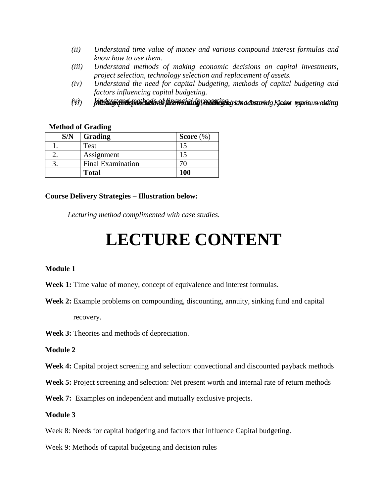- *(ii) Understand time value of money and various compound interest formulas and know how to use them.*
- *(iii) Understand methods of making economic decisions on capital investments, project selection, technology selection and replacement of assets.*
- *(iv) Understand the need for capital budgeting, methods of capital budgeting and factors influencing capital budgeting.*
- (V) lienderstand met es dia of financial of vecution etc on destand space in type sure habitud

#### **Method of Grading**

| S/N | Grading                  | Score $(\%)$ |
|-----|--------------------------|--------------|
|     | Test                     |              |
|     | Assignment               |              |
|     | <b>Final Examination</b> |              |
|     | <b>Total</b>             | 100          |

#### **Course Delivery Strategies – Illustration below:**

*Lecturing method complimented with case studies.* 

# **LECTURE CONTENT**

#### **Module 1**

- **Week 1:** Time value of money, concept of equivalence and interest formulas.
- **Week 2:** Example problems on compounding, discounting, annuity, sinking fund and capital recovery.

**Week 3:** Theories and methods of depreciation.

### **Module 2**

**Week 4:** Capital project screening and selection: convectional and discounted payback methods

**Week 5:** Project screening and selection: Net present worth and internal rate of return methods

**Week 7:** Examples on independent and mutually exclusive projects.

## **Module 3**

Week 8: Needs for capital budgeting and factors that influence Capital budgeting.

Week 9: Methods of capital budgeting and decision rules